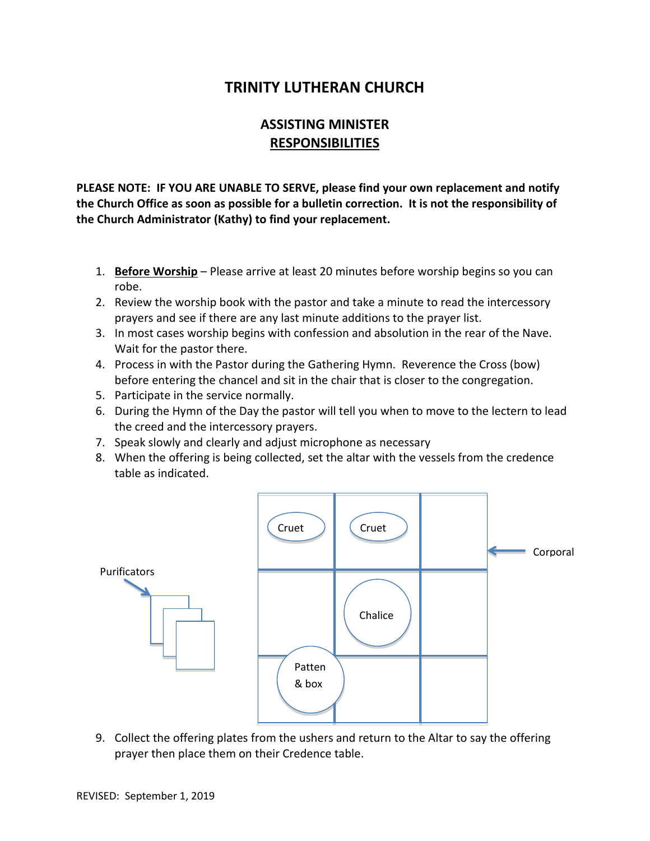## **TRINITY LUTHERAN CHURCH**

## **ASSISTING MINISTER RESPONSIBILITIES**

**PLEASE NOTE: IF YOU ARE UNABLE TO SERVE, please find your own replacement and notify the Church Office as soon as possible for a bulletin correction. It is not the responsibility of the Church Administrator (Kathy) to find your replacement.**

- 1. **Before Worship** Please arrive at least 20 minutes before worship begins so you can robe.
- 2. Review the worship book with the pastor and take a minute to read the intercessory prayers and see if there are any last minute additions to the prayer list.
- 3. In most cases worship begins with confession and absolution in the rear of the Nave. Wait for the pastor there.
- 4. Process in with the Pastor during the Gathering Hymn. Reverence the Cross (bow) before entering the chancel and sit in the chair that is closer to the congregation.
- 5. Participate in the service normally.
- 6. During the Hymn of the Day the pastor will tell you when to move to the lectern to lead the creed and the intercessory prayers.
- 7. Speak slowly and clearly and adjust microphone as necessary
- 8. When the offering is being collected, set the altar with the vessels from the credence table as indicated.



9. Collect the offering plates from the ushers and return to the Altar to say the offering prayer then place them on their Credence table.